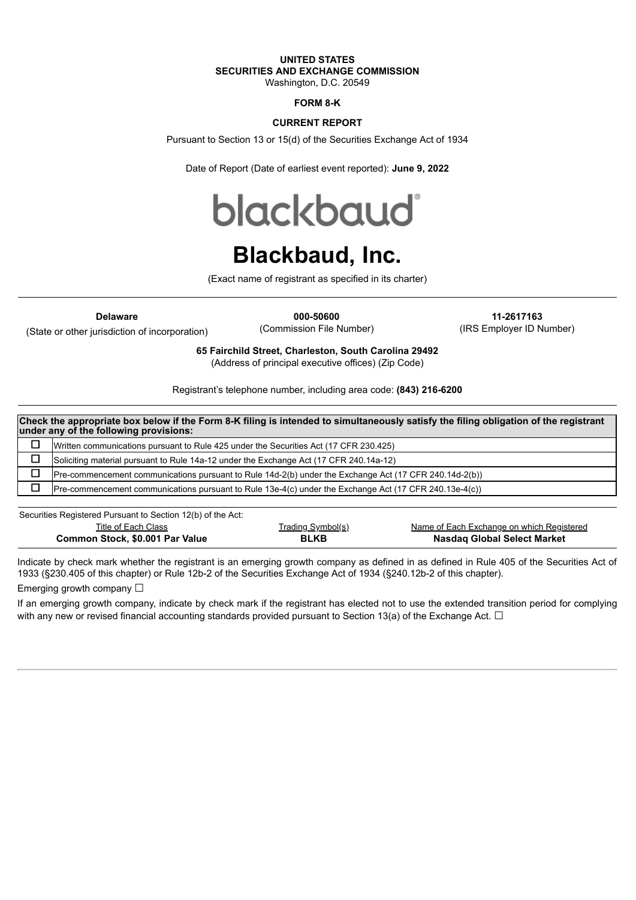# **UNITED STATES SECURITIES AND EXCHANGE COMMISSION**

Washington, D.C. 20549

## **FORM 8-K**

### **CURRENT REPORT**

Pursuant to Section 13 or 15(d) of the Securities Exchange Act of 1934

Date of Report (Date of earliest event reported): **June 9, 2022**

**blackbaud** 

# **Blackbaud, Inc.**

(Exact name of registrant as specified in its charter)

(State or other jurisdiction of incorporation)

**Delaware 000-50600 11-2617163**

(Commission File Number) (IRS Employer ID Number)

**65 Fairchild Street, Charleston, South Carolina 29492**

(Address of principal executive offices) (Zip Code)

Registrant's telephone number, including area code: **(843) 216-6200**

| Check the appropriate box below if the Form 8-K filing is intended to simultaneously satisfy the filing obligation of the registrant<br>under any of the following provisions: |                                                                                                         |  |  |
|--------------------------------------------------------------------------------------------------------------------------------------------------------------------------------|---------------------------------------------------------------------------------------------------------|--|--|
| □                                                                                                                                                                              | Written communications pursuant to Rule 425 under the Securities Act (17 CFR 230.425)                   |  |  |
| □                                                                                                                                                                              | Soliciting material pursuant to Rule 14a-12 under the Exchange Act (17 CFR 240.14a-12)                  |  |  |
| □                                                                                                                                                                              | (Pre-commencement communications pursuant to Rule 14d-2(b) under the Exchange Act (17 CFR 240.14d-2(b)) |  |  |
|                                                                                                                                                                                | (Pre-commencement communications pursuant to Rule 13e-4(c) under the Exchange Act (17 CFR 240.13e-4(c)) |  |  |
|                                                                                                                                                                                |                                                                                                         |  |  |

Securities Registered Pursuant to Section 12(b) of the Act:

| Title of Each Class             | <u>Trading Symbol(s)</u> | Name of Each Exchange on which Registered |
|---------------------------------|--------------------------|-------------------------------------------|
| Common Stock, \$0.001 Par Value | <b>BLKB</b>              | <b>Nasdaq Global Select Market</b>        |

Indicate by check mark whether the registrant is an emerging growth company as defined in as defined in Rule 405 of the Securities Act of 1933 (§230.405 of this chapter) or Rule 12b-2 of the Securities Exchange Act of 1934 (§240.12b-2 of this chapter).

Emerging growth company  $\Box$ 

If an emerging growth company, indicate by check mark if the registrant has elected not to use the extended transition period for complying with any new or revised financial accounting standards provided pursuant to Section 13(a) of the Exchange Act.  $\Box$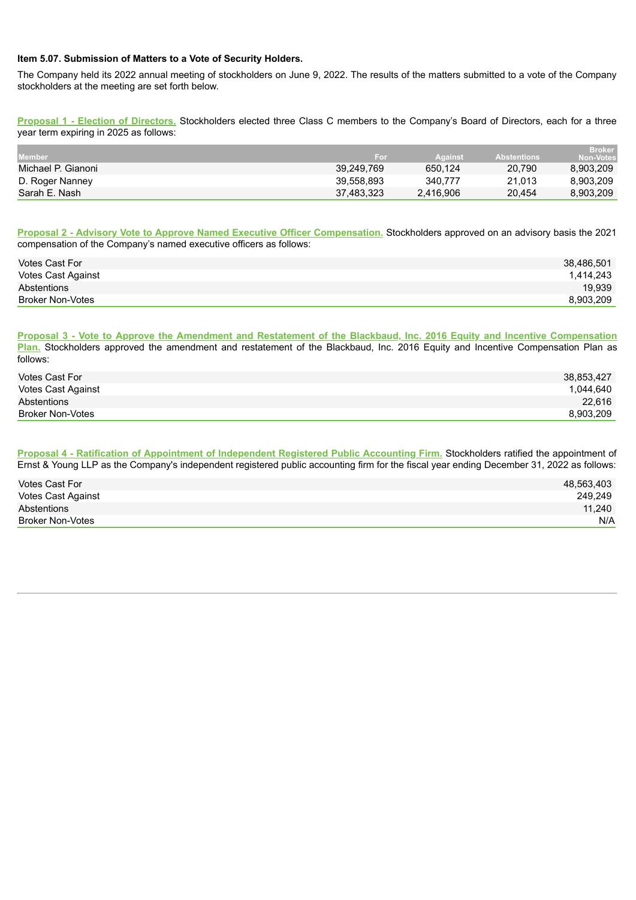#### **Item 5.07. Submission of Matters to a Vote of Security Holders.**

The Company held its 2022 annual meeting of stockholders on June 9, 2022. The results of the matters submitted to a vote of the Company stockholders at the meeting are set forth below.

**Proposal 1 - Election of Directors.** Stockholders elected three Class C members to the Company's Board of Directors, each for a three year term expiring in 2025 as follows:

| <b>Member</b>      | For        | <b>Against</b> | <b>Abstentions</b> | <b>Broker</b><br><b>Non-Votes</b> |
|--------------------|------------|----------------|--------------------|-----------------------------------|
| Michael P. Gianoni | 39,249,769 | 650.124        | 20.790             | 8,903,209                         |
| D. Roger Nanney    | 39.558.893 | 340.777        | 21.013             | 8.903.209                         |
| Sarah E. Nash      | 37,483,323 | 2.416.906      | 20.454             | 8,903,209                         |

**Proposal 2 - Advisory Vote to Approve Named Executive Officer Compensation.** Stockholders approved on an advisory basis the 2021 compensation of the Company's named executive officers as follows:

| Votes Cast For          | 38,486,501 |
|-------------------------|------------|
| Votes Cast Against      | 1.414.243  |
| Abstentions             | 19.939     |
| <b>Broker Non-Votes</b> | 8.903.209  |

Proposal 3 - Vote to Approve the Amendment and Restatement of the Blackbaud, Inc. 2016 Equity and Incentive Compensation **Plan.** Stockholders approved the amendment and restatement of the Blackbaud, Inc. 2016 Equity and Incentive Compensation Plan as follows:

| Votes Cast For     | 38,853,427 |
|--------------------|------------|
| Votes Cast Against | 1.044.640  |
| Abstentions        | 22.616     |
| Broker Non-Votes   | 8,903,209  |

**Proposal 4 - Ratification of Appointment of Independent Registered Public Accounting Firm.** Stockholders ratified the appointment of Ernst & Young LLP as the Company's independent registered public accounting firm for the fiscal year ending December 31, 2022 as follows:

| Votes Cast For          | 48,563,403 |
|-------------------------|------------|
| Votes Cast Against      | 249,249    |
| Abstentions             | 11,240     |
| <b>Broker Non-Votes</b> | N/A        |